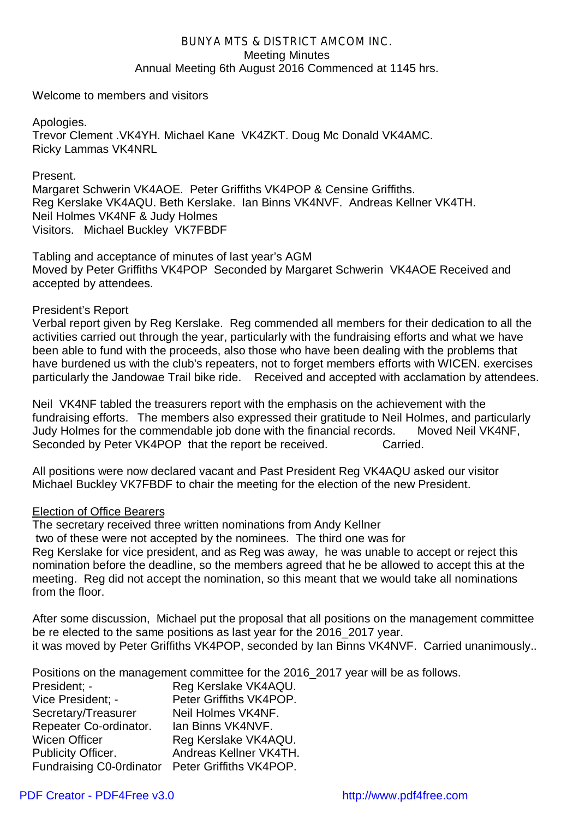## *BUNYA MTS & DISTRICT AMCOM INC.* Meeting Minutes Annual Meeting 6th August 2016 Commenced at 1145 hrs.

Welcome to members and visitors

Apologies. Trevor Clement .VK4YH. Michael Kane VK4ZKT. Doug Mc Donald VK4AMC. Ricky Lammas VK4NRL

Present.

Margaret Schwerin VK4AOE. Peter Griffiths VK4POP & Censine Griffiths. Reg Kerslake VK4AQU. Beth Kerslake. Ian Binns VK4NVF. Andreas Kellner VK4TH. Neil Holmes VK4NF & Judy Holmes Visitors. Michael Buckley VK7FBDF

Tabling and acceptance of minutes of last year's AGM Moved by Peter Griffiths VK4POP Seconded by Margaret Schwerin VK4AOE Received and accepted by attendees.

President's Report

Verbal report given by Reg Kerslake. Reg commended all members for their dedication to all the activities carried out through the year, particularly with the fundraising efforts and what we have been able to fund with the proceeds, also those who have been dealing with the problems that have burdened us with the club's repeaters, not to forget members efforts with WICEN. exercises particularly the Jandowae Trail bike ride. Received and accepted with acclamation by attendees.

Neil VK4NF tabled the treasurers report with the emphasis on the achievement with the fundraising efforts. The members also expressed their gratitude to Neil Holmes, and particularly Judy Holmes for the commendable job done with the financial records. Moved Neil VK4NF, Seconded by Peter VK4POP that the report be received. Carried.

All positions were now declared vacant and Past President Reg VK4AQU asked our visitor Michael Buckley VK7FBDF to chair the meeting for the election of the new President.

## Election of Office Bearers

The secretary received three written nominations from Andy Kellner two of these were not accepted by the nominees. The third one was for Reg Kerslake for vice president, and as Reg was away, he was unable to accept or reject this nomination before the deadline, so the members agreed that he be allowed to accept this at the meeting. Reg did not accept the nomination, so this meant that we would take all nominations from the floor

After some discussion, Michael put the proposal that all positions on the management committee be re elected to the same positions as last year for the 2016\_2017 year. it was moved by Peter Griffiths VK4POP, seconded by Ian Binns VK4NVF. Carried unanimously..

Positions on the management committee for the 2016\_2017 year will be as follows.

| President; -                                     | Reg Kerslake VK4AQU.    |
|--------------------------------------------------|-------------------------|
| Vice President: -                                | Peter Griffiths VK4POP. |
| Secretary/Treasurer                              | Neil Holmes VK4NF.      |
| Repeater Co-ordinator.                           | Ian Binns VK4NVF.       |
| <b>Wicen Officer</b>                             | Reg Kerslake VK4AQU.    |
| <b>Publicity Officer.</b>                        | Andreas Kellner VK4TH.  |
| Fundraising C0-0rdinator Peter Griffiths VK4POP. |                         |

## [PDF Creator - PDF4Free v3.0 http://www.pdf4free.com](http://www.pdfpdf.com/0.htm)